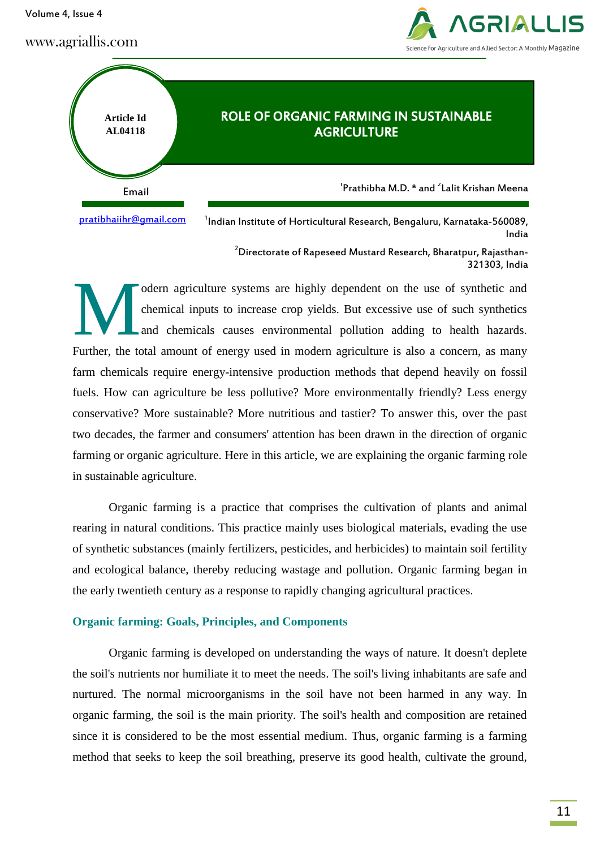Volume 4, Issue 4

www.agriallis.com





[pratibhaiihr@gmail.com](mailto:pratibhaiihr@gmail.com)

 $^{\text{1}}$ Indian Institute of Horticultural Research, Bengaluru, Karnataka-560089, India

<sup>2</sup>Directorate of Rapeseed Mustard Research, Bharatpur, Rajasthan-321303, India

odern agriculture systems are highly dependent on the use of synthetic and chemical inputs to increase crop yields. But excessive use of such synthetics and chemicals causes environmental pollution adding to health hazards. Further, the total amount of energy used in modern agriculture is also a concern, as many farm chemicals require energy-intensive production methods that depend heavily on fossil fuels. How can agriculture be less pollutive? More environmentally friendly? Less energy conservative? More sustainable? More nutritious and tastier? To answer this, over the past two decades, the farmer and consumers' attention has been drawn in the direction of organic farming or organic agriculture. Here in this article, we are explaining the organic farming role in sustainable agriculture. M

Organic farming is a practice that comprises the cultivation of plants and animal rearing in natural conditions. This practice mainly uses biological materials, evading the use of synthetic substances (mainly fertilizers, pesticides, and herbicides) to maintain soil fertility and ecological balance, thereby reducing wastage and pollution. Organic farming began in the early twentieth century as a response to rapidly changing agricultural practices.

### **Organic farming: Goals, Principles, and Components**

Organic farming is developed on understanding the ways of nature. It doesn't deplete the soil's nutrients nor humiliate it to meet the needs. The soil's living inhabitants are safe and nurtured. The normal microorganisms in the soil have not been harmed in any way. In organic farming, the soil is the main priority. The soil's health and composition are retained since it is considered to be the most essential medium. Thus, organic farming is a farming method that seeks to keep the soil breathing, preserve its good health, cultivate the ground,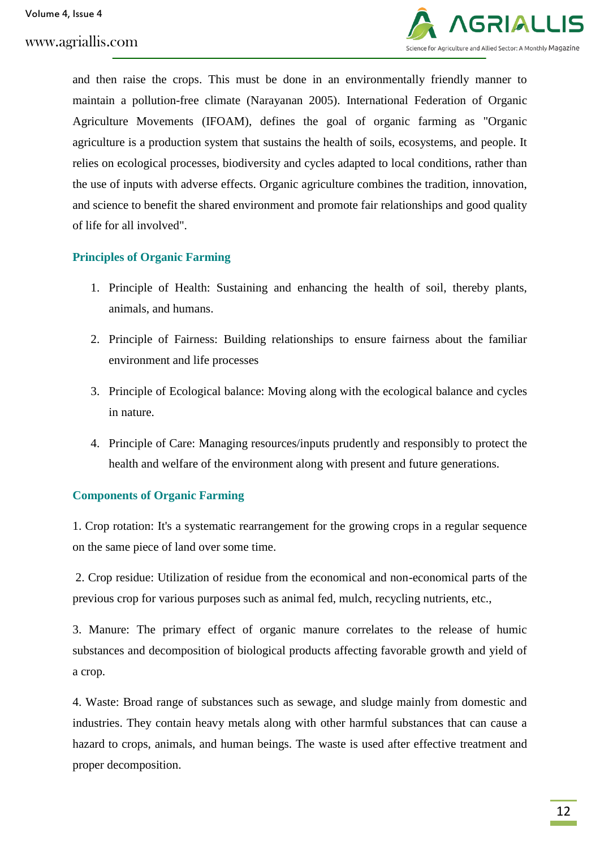

and then raise the crops. This must be done in an environmentally friendly manner to maintain a pollution-free climate (Narayanan 2005). International Federation of Organic Agriculture Movements (IFOAM), defines the goal of organic farming as "Organic agriculture is a production system that sustains the health of soils, ecosystems, and people. It relies on ecological processes, biodiversity and cycles adapted to local conditions, rather than the use of inputs with adverse effects. Organic agriculture combines the tradition, innovation, and science to benefit the shared environment and promote fair relationships and good quality of life for all involved".

# **Principles of Organic Farming**

- 1. Principle of Health: Sustaining and enhancing the health of soil, thereby plants, animals, and humans.
- 2. Principle of Fairness: Building relationships to ensure fairness about the familiar environment and life processes
- 3. Principle of Ecological balance: Moving along with the ecological balance and cycles in nature.
- 4. Principle of Care: Managing resources/inputs prudently and responsibly to protect the health and welfare of the environment along with present and future generations.

# **Components of Organic Farming**

1. Crop rotation: It's a systematic rearrangement for the growing crops in a regular sequence on the same piece of land over some time.

2. Crop residue: Utilization of residue from the economical and non-economical parts of the previous crop for various purposes such as animal fed, mulch, recycling nutrients, etc.,

3. Manure: The primary effect of organic manure correlates to the release of humic substances and decomposition of biological products affecting favorable growth and yield of a crop.

4. Waste: Broad range of substances such as sewage, and sludge mainly from domestic and industries. They contain heavy metals along with other harmful substances that can cause a hazard to crops, animals, and human beings. The waste is used after effective treatment and proper decomposition.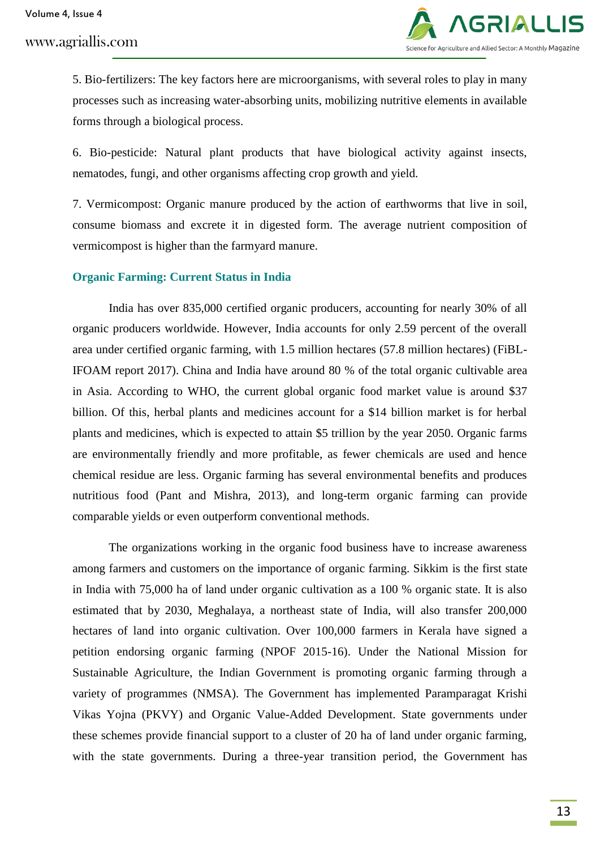# www.agriallis.com



5. Bio-fertilizers: The key factors here are microorganisms, with several roles to play in many processes such as increasing water-absorbing units, mobilizing nutritive elements in available forms through a biological process.

6. Bio-pesticide: Natural plant products that have biological activity against insects, nematodes, fungi, and other organisms affecting crop growth and yield.

7. Vermicompost: Organic manure produced by the action of earthworms that live in soil, consume biomass and excrete it in digested form. The average nutrient composition of vermicompost is higher than the farmyard manure.

#### **Organic Farming: Current Status in India**

India has over 835,000 certified organic producers, accounting for nearly 30% of all organic producers worldwide. However, India accounts for only 2.59 percent of the overall area under certified organic farming, with 1.5 million hectares (57.8 million hectares) (FiBL-IFOAM report 2017). China and India have around 80 % of the total organic cultivable area in Asia. According to WHO, the current global organic food market value is around \$37 billion. Of this, herbal plants and medicines account for a \$14 billion market is for herbal plants and medicines, which is expected to attain \$5 trillion by the year 2050. Organic farms are environmentally friendly and more profitable, as fewer chemicals are used and hence chemical residue are less. Organic farming has several environmental benefits and produces nutritious food (Pant and Mishra, 2013), and long-term organic farming can provide comparable yields or even outperform conventional methods.

The organizations working in the organic food business have to increase awareness among farmers and customers on the importance of organic farming. Sikkim is the first state in India with 75,000 ha of land under organic cultivation as a 100 % organic state. It is also estimated that by 2030, Meghalaya, a northeast state of India, will also transfer 200,000 hectares of land into organic cultivation. Over 100,000 farmers in Kerala have signed a petition endorsing organic farming (NPOF 2015-16). Under the National Mission for Sustainable Agriculture, the Indian Government is promoting organic farming through a variety of programmes (NMSA). The Government has implemented Paramparagat Krishi Vikas Yojna (PKVY) and Organic Value-Added Development. State governments under these schemes provide financial support to a cluster of 20 ha of land under organic farming, with the state governments. During a three-year transition period, the Government has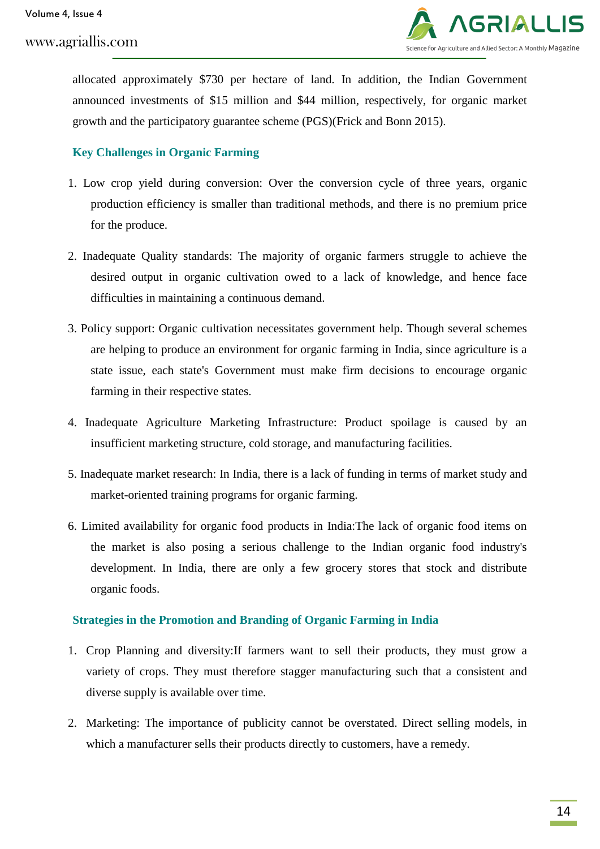

allocated approximately \$730 per hectare of land. In addition, the Indian Government announced investments of \$15 million and \$44 million, respectively, for organic market growth and the participatory guarantee scheme (PGS)(Frick and Bonn 2015).

# **Key Challenges in Organic Farming**

- 1. Low crop yield during conversion: Over the conversion cycle of three years, organic production efficiency is smaller than traditional methods, and there is no premium price for the produce.
- 2. Inadequate Quality standards: The majority of organic farmers struggle to achieve the desired output in organic cultivation owed to a lack of knowledge, and hence face difficulties in maintaining a continuous demand.
- 3. Policy support: Organic cultivation necessitates government help. Though several schemes are helping to produce an environment for organic farming in India, since agriculture is a state issue, each state's Government must make firm decisions to encourage organic farming in their respective states.
- 4. Inadequate Agriculture Marketing Infrastructure: Product spoilage is caused by an insufficient marketing structure, cold storage, and manufacturing facilities.
- 5. Inadequate market research: In India, there is a lack of funding in terms of market study and market-oriented training programs for organic farming.
- 6. Limited availability for organic food products in India:The lack of organic food items on the market is also posing a serious challenge to the Indian organic food industry's development. In India, there are only a few grocery stores that stock and distribute organic foods.

### **Strategies in the Promotion and Branding of Organic Farming in India**

- 1. Crop Planning and diversity:If farmers want to sell their products, they must grow a variety of crops. They must therefore stagger manufacturing such that a consistent and diverse supply is available over time.
- 2. Marketing: The importance of publicity cannot be overstated. Direct selling models, in which a manufacturer sells their products directly to customers, have a remedy.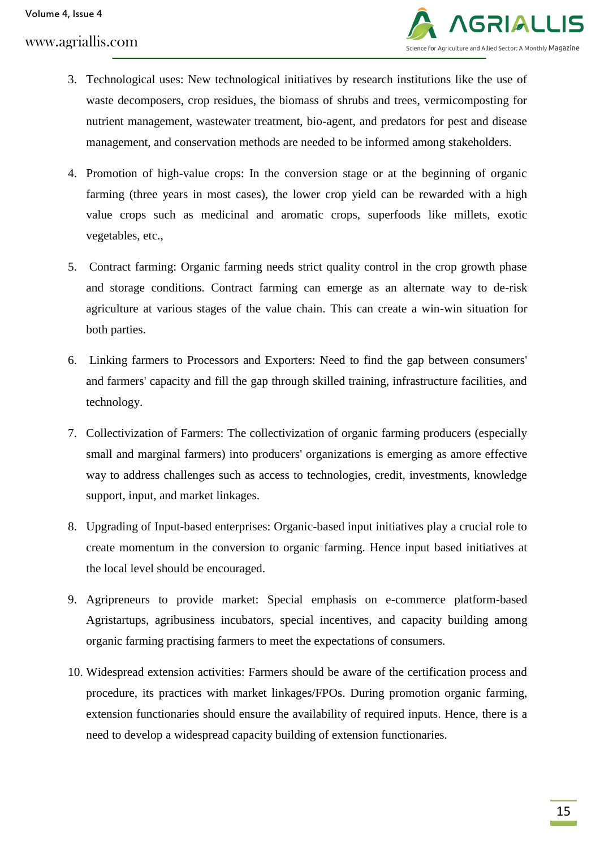

- 3. Technological uses: New technological initiatives by research institutions like the use of waste decomposers, crop residues, the biomass of shrubs and trees, vermicomposting for nutrient management, wastewater treatment, bio-agent, and predators for pest and disease management, and conservation methods are needed to be informed among stakeholders.
- 4. Promotion of high-value crops: In the conversion stage or at the beginning of organic farming (three years in most cases), the lower crop yield can be rewarded with a high value crops such as medicinal and aromatic crops, superfoods like millets, exotic vegetables, etc.,
- 5. Contract farming: Organic farming needs strict quality control in the crop growth phase and storage conditions. Contract farming can emerge as an alternate way to de-risk agriculture at various stages of the value chain. This can create a win-win situation for both parties.
- 6. Linking farmers to Processors and Exporters: Need to find the gap between consumers' and farmers' capacity and fill the gap through skilled training, infrastructure facilities, and technology.
- 7. Collectivization of Farmers: The collectivization of organic farming producers (especially small and marginal farmers) into producers' organizations is emerging as amore effective way to address challenges such as access to technologies, credit, investments, knowledge support, input, and market linkages.
- 8. Upgrading of Input-based enterprises: Organic-based input initiatives play a crucial role to create momentum in the conversion to organic farming. Hence input based initiatives at the local level should be encouraged.
- 9. Agripreneurs to provide market: Special emphasis on e-commerce platform-based Agristartups, agribusiness incubators, special incentives, and capacity building among organic farming practising farmers to meet the expectations of consumers.
- 10. Widespread extension activities: Farmers should be aware of the certification process and procedure, its practices with market linkages/FPOs. During promotion organic farming, extension functionaries should ensure the availability of required inputs. Hence, there is a need to develop a widespread capacity building of extension functionaries.